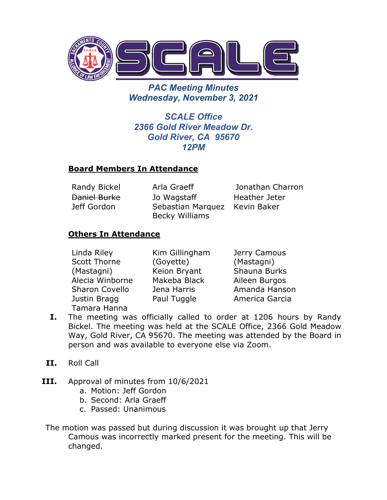

*PAC Meeting Minutes Wednesday, November 3, 2021*

*SCALE Office 2366 Gold River Meadow Dr. Gold River, CA 95670 12PM*

### **Board Members In Attendance**

Daniel Burke Jeff Gordon

Jo Wagstaff Sebastian Marquez Kevin Baker Becky Williams

Randy Bickel Arla Graeff Jonathan Charron Heather Jeter

## **Others In Attendance**

| Linda Riley           | Kim Gillingham | Jerry Camous   |
|-----------------------|----------------|----------------|
| <b>Scott Thorne</b>   | (Goyette)      | (Mastagni)     |
| (Mastagni)            | Keion Bryant   | Shauna Burks   |
| Alecia Winborne       | Makeba Black   | Aileen Burgos  |
| <b>Sharon Covello</b> | Jena Harris    | Amanda Hanson  |
| Justin Bragg          | Paul Tuggle    | America Garcia |
| Tamara Hanna          |                |                |

- **I.** The meeting was officially called to order at 1206 hours by Randy Bickel. The meeting was held at the SCALE Office, 2366 Gold Meadow Way, Gold River, CA 95670. The meeting was attended by the Board in person and was available to everyone else via Zoom.
- **II.** Roll Call
- **III.** Approval of minutes from 10/6/2021
	- a. Motion: Jeff Gordon
	- b. Second: Arla Graeff
	- c. Passed: Unanimous

The motion was passed but during discussion it was brought up that Jerry Camous was incorrectly marked present for the meeting. This will be changed.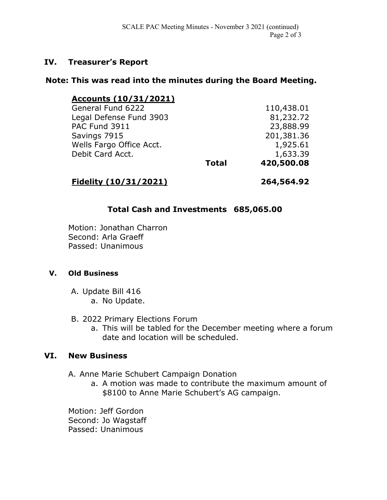### **IV. Treasurer's Report**

### **Note: This was read into the minutes during the Board Meeting.**

| <u>Accounts (10/31/2021)</u> |              |            |
|------------------------------|--------------|------------|
| General Fund 6222            |              | 110,438.01 |
| Legal Defense Fund 3903      |              | 81,232.72  |
| PAC Fund 3911                |              | 23,888.99  |
| Savings 7915                 |              | 201,381.36 |
| Wells Fargo Office Acct.     |              | 1,925.61   |
| Debit Card Acct.             |              | 1,633.39   |
|                              | <b>Total</b> | 420,500.08 |
|                              |              |            |

# **Fidelity (10/31/2021) 264,564.92**

## **Total Cash and Investments 685,065.00**

Motion: Jonathan Charron Second: Arla Graeff Passed: Unanimous

### **V. Old Business**

- A. Update Bill 416 a. No Update.
- B. 2022 Primary Elections Forum
	- a. This will be tabled for the December meeting where a forum date and location will be scheduled.

### **VI. New Business**

- A. Anne Marie Schubert Campaign Donation
	- a. A motion was made to contribute the maximum amount of \$8100 to Anne Marie Schubert's AG campaign.

Motion: Jeff Gordon Second: Jo Wagstaff Passed: Unanimous